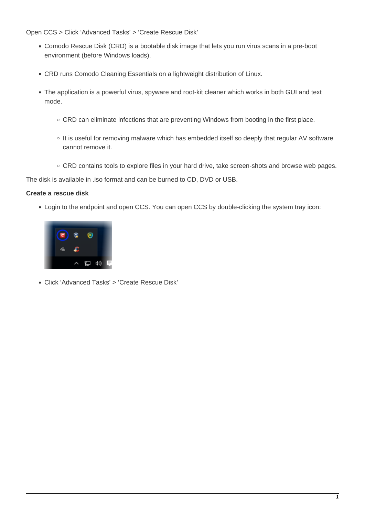Open CCS > Click 'Advanced Tasks' > 'Create Rescue Disk'

- Comodo Rescue Disk (CRD) is a bootable disk image that lets you run virus scans in a pre-boot environment (before Windows loads).
- CRD runs Comodo Cleaning Essentials on a lightweight distribution of Linux.
- The application is a powerful virus, spyware and root-kit cleaner which works in both GUI and text mode.
	- CRD can eliminate infections that are preventing Windows from booting in the first place.
	- o It is useful for removing malware which has embedded itself so deeply that regular AV software cannot remove it.
	- o CRD contains tools to explore files in your hard drive, take screen-shots and browse web pages.

The disk is available in .iso format and can be burned to CD, DVD or USB.

### **Create a rescue disk**

Login to the endpoint and open CCS. You can open CCS by double-clicking the system tray icon:



Click 'Advanced Tasks' > 'Create Rescue Disk'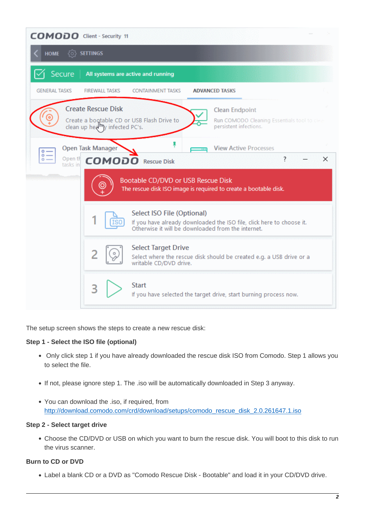

The setup screen shows the steps to create a new rescue disk:

#### **Step 1 - Select the ISO file (optional)**

- Only click step 1 if you have already downloaded the rescue disk ISO from Comodo. Step 1 allows you to select the file.
- If not, please ignore step 1. The .iso will be automatically downloaded in Step 3 anyway.
- You can download the .iso, if required, from [http://download.comodo.com/crd/download/setups/comodo\\_rescue\\_disk\\_2.0.261647.1.iso](http://download.comodo.com/crd/download/setups/comodo_rescue_disk_2.0.261647.1.iso)

#### **Step 2 - Select target drive**

Choose the CD/DVD or USB on which you want to burn the rescue disk. You will boot to this disk to run the virus scanner.

# **Burn to CD or DVD**

Label a blank CD or a DVD as "Comodo Rescue Disk - Bootable" and load it in your CD/DVD drive.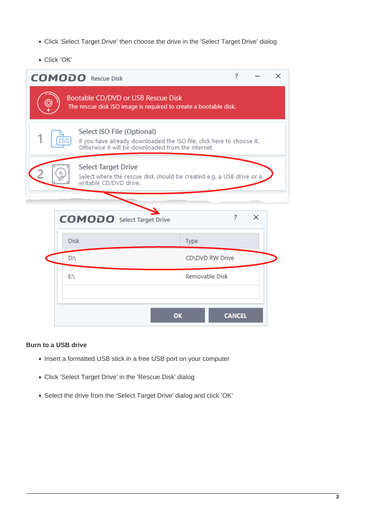- Click 'Select Target Drive' then choose the drive in the 'Select Target Drive' dialog
- Click 'OK'

|                                                                                                                                   | <b>COMODO</b> Rescue Disk                                                                                                                                 | ?               | × |  |  |  |
|-----------------------------------------------------------------------------------------------------------------------------------|-----------------------------------------------------------------------------------------------------------------------------------------------------------|-----------------|---|--|--|--|
| Bootable CD/DVD or USB Rescue Disk<br>The rescue disk ISO image is required to create a bootable disk.                            |                                                                                                                                                           |                 |   |  |  |  |
|                                                                                                                                   | Select ISO File (Optional)<br>If you have already downloaded the ISO file, click here to choose it.<br>Otherwise it will be downloaded from the Internet. |                 |   |  |  |  |
| <b>Select Target Drive</b><br>o<br>Select where the rescue disk should be created e.g. a USB drive or a<br>writable CD/DVD drive. |                                                                                                                                                           |                 |   |  |  |  |
|                                                                                                                                   |                                                                                                                                                           |                 |   |  |  |  |
|                                                                                                                                   | <b>COMODO</b> Select Target Drive                                                                                                                         | Ś.<br>$\times$  |   |  |  |  |
|                                                                                                                                   | <b>Disk</b><br>Type                                                                                                                                       |                 |   |  |  |  |
|                                                                                                                                   | D:\                                                                                                                                                       | CD\DVD RW Drive |   |  |  |  |
|                                                                                                                                   | EΛ                                                                                                                                                        | Removable Disk  |   |  |  |  |
|                                                                                                                                   |                                                                                                                                                           |                 |   |  |  |  |
|                                                                                                                                   | OK                                                                                                                                                        | <b>CANCEL</b>   |   |  |  |  |

# **Burn to a USB drive**

- Insert a formatted USB stick in a free USB port on your computer
- Click 'Select Target Drive' in the 'Rescue Disk' dialog
- Select the drive from the 'Select Target Drive' dialog and click 'OK'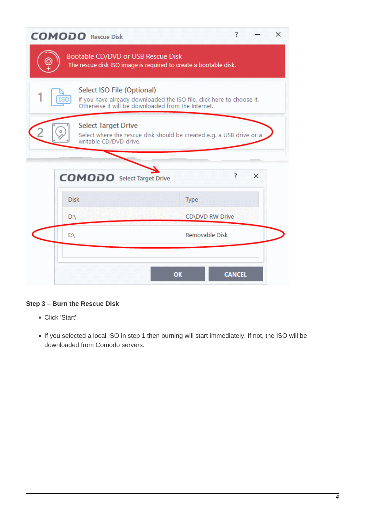|   | <b>COMODO</b> Rescue Disk                                                                                                                                 | 7                                                                | × |  |  |  |
|---|-----------------------------------------------------------------------------------------------------------------------------------------------------------|------------------------------------------------------------------|---|--|--|--|
| O | Bootable CD/DVD or USB Rescue Disk                                                                                                                        | The rescue disk ISO image is required to create a bootable disk. |   |  |  |  |
|   | Select ISO File (Optional)<br>If you have already downloaded the ISO file, click here to choose it.<br>Otherwise it will be downloaded from the Internet. |                                                                  |   |  |  |  |
|   | <b>Select Target Drive</b><br>Select where the rescue disk should be created e.g. a USB drive or a<br>writable CD/DVD drive.                              |                                                                  |   |  |  |  |
|   | <b>COMODO</b> Select Target Drive                                                                                                                         | ?<br>×                                                           |   |  |  |  |
|   | <b>Disk</b>                                                                                                                                               | Type                                                             |   |  |  |  |
|   | $D:\setminus$                                                                                                                                             | CD\DVD RW Drive                                                  |   |  |  |  |
|   | EA                                                                                                                                                        | Removable Disk                                                   |   |  |  |  |
|   |                                                                                                                                                           |                                                                  |   |  |  |  |
|   |                                                                                                                                                           | <b>CANCEL</b><br>OK                                              |   |  |  |  |

# **Step 3 – Burn the Rescue Disk**

- Click 'Start'
- If you selected a local ISO in step 1 then burning will start immediately. If not, the ISO will be downloaded from Comodo servers: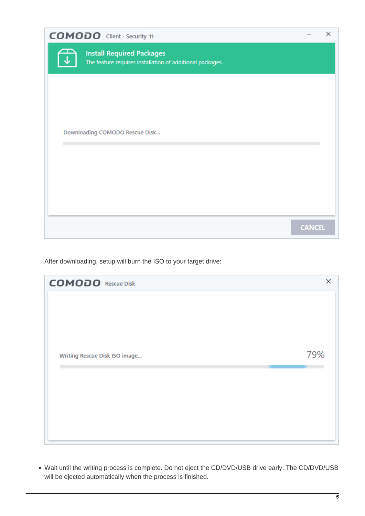| <b>COMODO</b> Client - Security 11                                                            |               | × |
|-----------------------------------------------------------------------------------------------|---------------|---|
| <b>Install Required Packages</b><br>The feature requires installation of additional packages. |               |   |
|                                                                                               |               |   |
|                                                                                               |               |   |
| Downloading COMODO Rescue Disk                                                                |               |   |
|                                                                                               |               |   |
|                                                                                               |               |   |
|                                                                                               | <b>CANCEL</b> |   |

After downloading, setup will burn the ISO to your target drive:

| <b>COMODO</b> Rescue Disk     | ×   |
|-------------------------------|-----|
|                               |     |
|                               |     |
|                               |     |
|                               |     |
| Writing Rescue Disk ISO image | 79% |
|                               |     |
|                               |     |
|                               |     |
|                               |     |
|                               |     |

Wait until the writing process is complete. Do not eject the CD/DVD/USB drive early. The CD/DVD/USB will be ejected automatically when the process is finished.